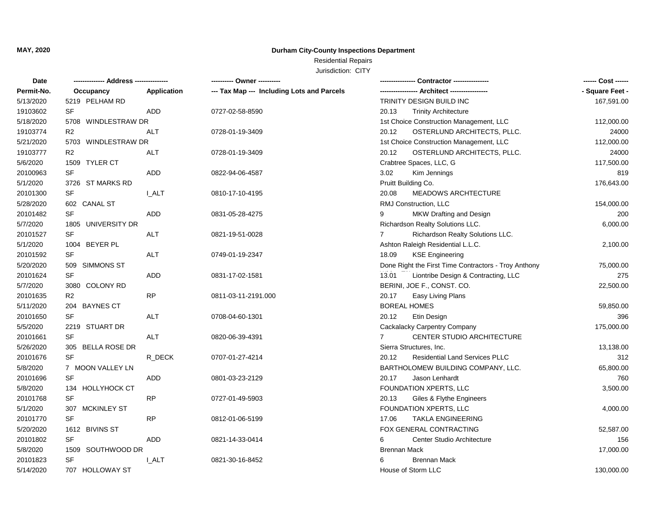**MAY, 2020**

## **Durham City-County Inspections Department**

## Residential Repairs

Jurisdiction: CITY

| Date       |                            |              |                                            |                                                      | ------ Cost ------ |
|------------|----------------------------|--------------|--------------------------------------------|------------------------------------------------------|--------------------|
| Permit-No. | Occupancy                  | Application  | --- Tax Map --- Including Lots and Parcels |                                                      | - Square Feet -    |
| 5/13/2020  | 5219 PELHAM RD             |              |                                            | TRINITY DESIGN BUILD INC                             | 167,591.00         |
| 19103602   | SF                         | ADD          | 0727-02-58-8590                            | 20.13<br><b>Trinity Architecture</b>                 |                    |
| 5/18/2020  | 5708 WINDLESTRAW DR        |              |                                            | 1st Choice Construction Management, LLC              | 112,000.00         |
| 19103774   | R <sub>2</sub>             | <b>ALT</b>   | 0728-01-19-3409                            | OSTERLUND ARCHITECTS, PLLC.<br>20.12                 | 24000              |
| 5/21/2020  | 5703 WINDLESTRAW DR        |              |                                            | 1st Choice Construction Management, LLC              | 112,000.00         |
| 19103777   | R <sub>2</sub>             | <b>ALT</b>   | 0728-01-19-3409                            | OSTERLUND ARCHITECTS, PLLC.<br>20.12                 | 24000              |
| 5/6/2020   | 1509 TYLER CT              |              |                                            | Crabtree Spaces, LLC, G                              | 117,500.00         |
| 20100963   | <b>SF</b>                  | <b>ADD</b>   | 0822-94-06-4587                            | 3.02<br>Kim Jennings                                 | 819                |
| 5/1/2020   | 3726 ST MARKS RD           |              |                                            | Pruitt Building Co.                                  | 176,643.00         |
| 20101300   | SF                         | <b>I_ALT</b> | 0810-17-10-4195                            | 20.08<br>MEADOWS ARCHTECTURE                         |                    |
| 5/28/2020  | 602 CANAL ST               |              |                                            | RMJ Construction, LLC                                | 154,000.00         |
| 20101482   | <b>SF</b>                  | ADD          | 0831-05-28-4275                            | MKW Drafting and Design                              | 200                |
| 5/7/2020   | 1805 UNIVERSITY DR         |              |                                            | Richardson Realty Solutions LLC.                     | 6,000.00           |
| 20101527   | SF                         | <b>ALT</b>   | 0821-19-51-0028                            | Richardson Realty Solutions LLC.<br>$\overline{7}$   |                    |
| 5/1/2020   | 1004 BEYER PL              |              |                                            | Ashton Raleigh Residential L.L.C.                    | 2,100.00           |
| 20101592   | SF                         | ALT          | 0749-01-19-2347                            | 18.09<br><b>KSE Engineering</b>                      |                    |
| 5/20/2020  | 509<br>SIMMONS ST          |              |                                            | Done Right the First Time Contractors - Troy Anthony | 75,000.00          |
| 20101624   | SF                         | <b>ADD</b>   | 0831-17-02-1581                            | Liontribe Design & Contracting, LLC<br>13.01         | 275                |
| 5/7/2020   | 3080 COLONY RD             |              |                                            | BERINI, JOE F., CONST. CO.                           | 22,500.00          |
| 20101635   | R2                         | RP           | 0811-03-11-2191.000                        | 20.17<br>Easy Living Plans                           |                    |
| 5/11/2020  | 204 BAYNES CT              |              |                                            | <b>BOREAL HOMES</b>                                  | 59,850.00          |
| 20101650   | <b>SF</b>                  | <b>ALT</b>   | 0708-04-60-1301                            | Etin Design<br>20.12                                 | 396                |
| 5/5/2020   | 2219 STUART DR             |              |                                            | Cackalacky Carpentry Company                         | 175,000.00         |
| 20101661   | <b>SF</b>                  | <b>ALT</b>   | 0820-06-39-4391                            | CENTER STUDIO ARCHITECTURE                           |                    |
| 5/26/2020  | 305 BELLA ROSE DR          |              |                                            | Sierra Structures, Inc.                              | 13,138.00          |
| 20101676   | <b>SF</b>                  | R_DECK       | 0707-01-27-4214                            | 20.12<br><b>Residential Land Services PLLC</b>       | 312                |
| 5/8/2020   | 7 MOON VALLEY LN           |              |                                            | BARTHOLOMEW BUILDING COMPANY, LLC.                   | 65,800.00          |
| 20101696   | <b>SF</b>                  | ADD          | 0801-03-23-2129                            | 20.17<br>Jason Lenhardt                              | 760                |
| 5/8/2020   | <b>HOLLYHOCK CT</b><br>134 |              |                                            | FOUNDATION XPERTS, LLC                               | 3,500.00           |
| 20101768   | <b>SF</b>                  | <b>RP</b>    | 0727-01-49-5903                            | 20.13<br>Giles & Flythe Engineers                    |                    |
| 5/1/2020   | 307 MCKINLEY ST            |              |                                            | FOUNDATION XPERTS, LLC                               | 4,000.00           |
| 20101770   | SF                         | <b>RP</b>    | 0812-01-06-5199                            | 17.06<br><b>TAKLA ENGINEERING</b>                    |                    |
| 5/20/2020  | 1612 BIVINS ST             |              |                                            | FOX GENERAL CONTRACTING                              | 52,587.00          |
| 20101802   | <b>SF</b>                  | ADD          | 0821-14-33-0414                            | Center Studio Architecture<br>6                      | 156                |
| 5/8/2020   | 1509 SOUTHWOOD DR          |              |                                            | <b>Brennan Mack</b>                                  | 17,000.00          |
| 20101823   | SF                         | I ALT        | 0821-30-16-8452                            | <b>Brennan Mack</b>                                  |                    |
| 5/14/2020  | 707 HOLLOWAY ST            |              |                                            | House of Storm LLC                                   | 130,000.00         |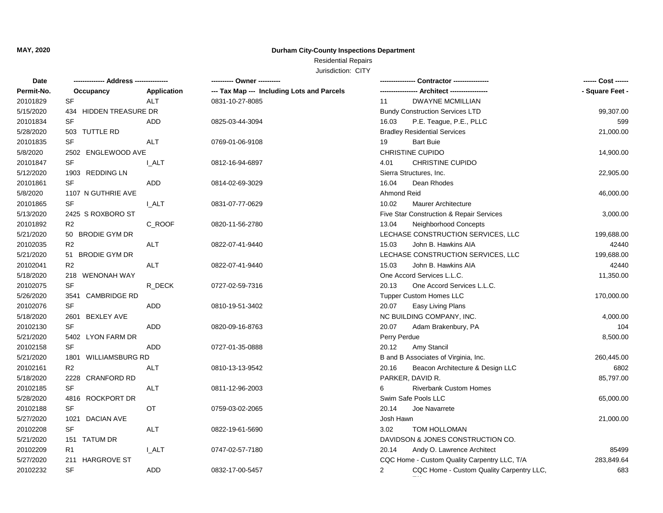**MAY, 2020**

## **Durham City-County Inspections Department**

## Residential Repairs

Jurisdiction: CITY

| Date       |                           |              |                                            | Contractor ---------------                                 |                 |
|------------|---------------------------|--------------|--------------------------------------------|------------------------------------------------------------|-----------------|
| Permit-No. | Occupancy                 | Application  | --- Tax Map --- Including Lots and Parcels | -- Architect -----------------                             | - Square Feet - |
| 20101829   | SF                        | <b>ALT</b>   | 0831-10-27-8085                            | <b>DWAYNE MCMILLIAN</b><br>11                              |                 |
| 5/15/2020  | 434 HIDDEN TREASURE DR    |              |                                            | <b>Bundy Construction Services LTD</b>                     | 99,307.00       |
| 20101834   | SF                        | ADD          | 0825-03-44-3094                            | 16.03<br>P.E. Teague, P.E., PLLC                           | 599             |
| 5/28/2020  | 503 TUTTLE RD             |              |                                            | <b>Bradley Residential Services</b>                        | 21,000.00       |
| 20101835   | SF                        | <b>ALT</b>   | 0769-01-06-9108                            | <b>Bart Buie</b><br>19                                     |                 |
| 5/8/2020   | 2502 ENGLEWOOD AVE        |              |                                            | CHRISTINE CUPIDO                                           | 14,900.00       |
| 20101847   | SF                        | I ALT        | 0812-16-94-6897                            | <b>CHRISTINE CUPIDO</b><br>4.01                            |                 |
| 5/12/2020  | 1903 REDDING LN           |              |                                            | Sierra Structures, Inc.                                    | 22,905.00       |
| 20101861   | <b>SF</b>                 | ADD          | 0814-02-69-3029                            | 16.04<br>Dean Rhodes                                       |                 |
| 5/8/2020   | 1107 N GUTHRIE AVE        |              |                                            | Ahmond Reid                                                | 46,000.00       |
| 20101865   | <b>SF</b>                 | I ALT        | 0831-07-77-0629                            | 10.02<br><b>Maurer Architecture</b>                        |                 |
| 5/13/2020  | 2425 S ROXBORO ST         |              |                                            | Five Star Construction & Repair Services                   | 3,000.00        |
| 20101892   | R <sub>2</sub>            | C ROOF       | 0820-11-56-2780                            | 13.04<br>Neighborhood Concepts                             |                 |
| 5/21/2020  | 50 BRODIE GYM DR          |              |                                            | LECHASE CONSTRUCTION SERVICES, LLC                         | 199,688.00      |
| 20102035   | R <sub>2</sub>            | <b>ALT</b>   | 0822-07-41-9440                            | John B. Hawkins AIA<br>15.03                               | 42440           |
| 5/21/2020  | 51 BRODIE GYM DR          |              |                                            | LECHASE CONSTRUCTION SERVICES, LLC                         | 199,688.00      |
| 20102041   | R2                        | <b>ALT</b>   | 0822-07-41-9440                            | 15.03<br>John B. Hawkins AIA                               | 42440           |
| 5/18/2020  | 218 WENONAH WAY           |              |                                            | One Accord Services L.L.C.                                 | 11,350.00       |
| 20102075   | <b>SF</b>                 | R_DECK       | 0727-02-59-7316                            | 20.13<br>One Accord Services L.L.C.                        |                 |
| 5/26/2020  | 3541 CAMBRIDGE RD         |              |                                            | <b>Tupper Custom Homes LLC</b>                             | 170,000.00      |
| 20102076   | <b>SF</b>                 | <b>ADD</b>   | 0810-19-51-3402                            | Easy Living Plans<br>20.07                                 |                 |
| 5/18/2020  | 2601 BEXLEY AVE           |              |                                            | NC BUILDING COMPANY, INC.                                  | 4,000.00        |
| 20102130   | <b>SF</b>                 | ADD          | 0820-09-16-8763                            | 20.07<br>Adam Brakenbury, PA                               | 104             |
| 5/21/2020  | 5402 LYON FARM DR         |              |                                            | Perry Perdue                                               | 8,500.00        |
| 20102158   | <b>SF</b>                 | ADD          | 0727-01-35-0888                            | 20.12<br>Amy Stancil                                       |                 |
| 5/21/2020  | 1801 WILLIAMSBURG RD      |              |                                            | B and B Associates of Virginia, Inc.                       | 260,445.00      |
| 20102161   | R2                        | <b>ALT</b>   | 0810-13-13-9542                            | 20.16<br>Beacon Architecture & Design LLC                  | 6802            |
| 5/18/2020  | 2228 CRANFORD RD          |              |                                            | PARKER, DAVID R.                                           | 85,797.00       |
| 20102185   | SF                        | <b>ALT</b>   | 0811-12-96-2003                            | 6<br><b>Riverbank Custom Homes</b>                         |                 |
| 5/28/2020  | 4816 ROCKPORT DR          |              |                                            | Swim Safe Pools LLC                                        | 65,000.00       |
| 20102188   | SF                        | OT           | 0759-03-02-2065                            | 20.14<br>Joe Navarrete                                     |                 |
| 5/27/2020  | 1021 DACIAN AVE           |              |                                            | Josh Hawn                                                  | 21,000.00       |
| 20102208   | SF                        | ALT          | 0822-19-61-5690                            | 3.02<br>TOM HOLLOMAN                                       |                 |
| 5/21/2020  | 151 TATUM DR              |              |                                            | DAVIDSON & JONES CONSTRUCTION CO.                          |                 |
| 20102209   | R <sub>1</sub>            | <b>I_ALT</b> | 0747-02-57-7180                            | 20.14<br>Andy O. Lawrence Architect                        | 85499           |
| 5/27/2020  | <b>HARGROVE ST</b><br>211 |              |                                            | CQC Home - Custom Quality Carpentry LLC, T/A               | 283,849.64      |
| 20102232   | <b>SF</b>                 | ADD          | 0832-17-00-5457                            | $\overline{2}$<br>CQC Home - Custom Quality Carpentry LLC, | 683             |
|            |                           |              |                                            |                                                            |                 |